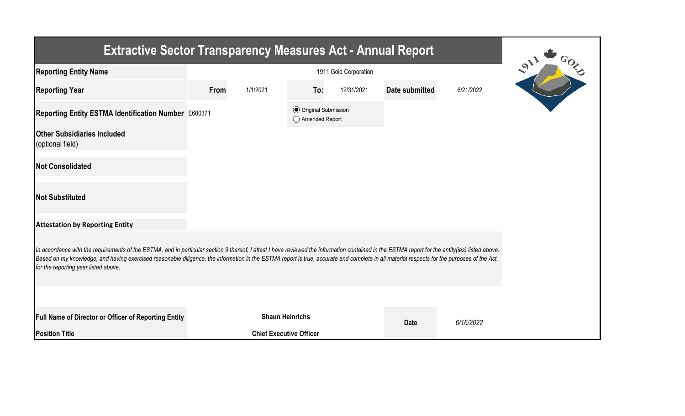| <b>Extractive Sector Transparency Measures Act - Annual Report</b>                                                                                                                                                                                                                                                                                                                                                                    |      |                                |                                                  |            |                |           |  |  |  |  |
|---------------------------------------------------------------------------------------------------------------------------------------------------------------------------------------------------------------------------------------------------------------------------------------------------------------------------------------------------------------------------------------------------------------------------------------|------|--------------------------------|--------------------------------------------------|------------|----------------|-----------|--|--|--|--|
| <b>Reporting Entity Name</b>                                                                                                                                                                                                                                                                                                                                                                                                          |      |                                |                                                  |            |                |           |  |  |  |  |
| <b>Reporting Year</b>                                                                                                                                                                                                                                                                                                                                                                                                                 | From | 1/1/2021                       | To:                                              | 12/31/2021 | Date submitted | 6/21/2022 |  |  |  |  |
| Reporting Entity ESTMA Identification Number E600371                                                                                                                                                                                                                                                                                                                                                                                  |      |                                | <b>◎</b> Original Submission<br>◯ Amended Report |            |                |           |  |  |  |  |
| <b>Other Subsidiaries Included</b><br>(optional field)                                                                                                                                                                                                                                                                                                                                                                                |      |                                |                                                  |            |                |           |  |  |  |  |
| <b>Not Consolidated</b>                                                                                                                                                                                                                                                                                                                                                                                                               |      |                                |                                                  |            |                |           |  |  |  |  |
| <b>Not Substituted</b>                                                                                                                                                                                                                                                                                                                                                                                                                |      |                                |                                                  |            |                |           |  |  |  |  |
| <b>Attestation by Reporting Entity</b>                                                                                                                                                                                                                                                                                                                                                                                                |      |                                |                                                  |            |                |           |  |  |  |  |
| In accordance with the requirements of the ESTMA, and in particular section 9 thereof, I attest I have reviewed the information contained in the ESTMA report for the entity(ies) listed above.<br>Based on my knowledge, and having exercised reasonable diligence, the information in the ESTMA report is true, accurate and complete in all material respects for the purposes of the Act,<br>for the reporting year listed above. |      |                                |                                                  |            |                |           |  |  |  |  |
|                                                                                                                                                                                                                                                                                                                                                                                                                                       |      |                                |                                                  |            |                |           |  |  |  |  |
| Full Name of Director or Officer of Reporting Entity                                                                                                                                                                                                                                                                                                                                                                                  |      | <b>Shaun Heinrichs</b>         |                                                  |            | <b>Date</b>    | 6/16/2022 |  |  |  |  |
| <b>Position Title</b>                                                                                                                                                                                                                                                                                                                                                                                                                 |      | <b>Chief Executive Officer</b> |                                                  |            |                |           |  |  |  |  |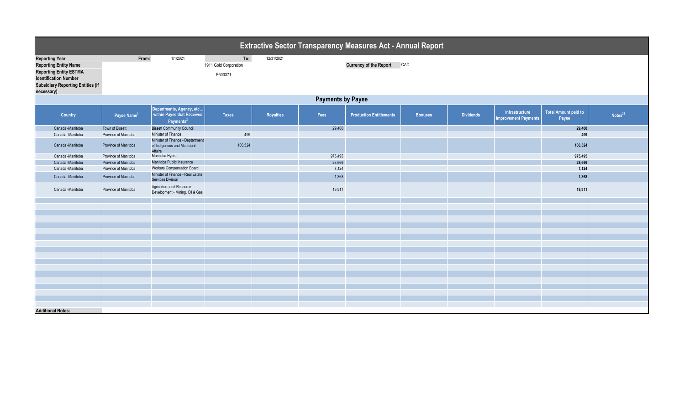| Extractive Sector Transparency Measures Act - Annual Report                                                                                                                      |                         |                                                                                 |                                         |                  |         |                                |                |                  |                                               |                                      |                     |
|----------------------------------------------------------------------------------------------------------------------------------------------------------------------------------|-------------------------|---------------------------------------------------------------------------------|-----------------------------------------|------------------|---------|--------------------------------|----------------|------------------|-----------------------------------------------|--------------------------------------|---------------------|
| <b>Reporting Year</b><br><b>Reporting Entity Name</b><br><b>Reporting Entity ESTMA</b><br><b>Identification Number</b><br><b>Subsidiary Reporting Entities (if</b><br>necessary) | From:                   | 1/1/2021                                                                        | To:<br>1911 Gold Corporation<br>E600371 | 12/31/2021       |         | <b>Currency of the Report</b>  | CAD            |                  |                                               |                                      |                     |
| <b>Payments by Payee</b>                                                                                                                                                         |                         |                                                                                 |                                         |                  |         |                                |                |                  |                                               |                                      |                     |
| Country                                                                                                                                                                          | Payee Name <sup>1</sup> | Departments, Agency, etc<br>within Payee that Received<br>Payments <sup>2</sup> | <b>Taxes</b>                            | <b>Royalties</b> | Fees    | <b>Production Entitlements</b> | <b>Bonuses</b> | <b>Dividends</b> | Infrastructure<br><b>Improvement Payments</b> | <b>Total Amount paid to</b><br>Payee | Notes <sup>34</sup> |
| Canada -Manitoba                                                                                                                                                                 | Town of Bissett         | <b>Bissett Community Council</b>                                                |                                         |                  | 29,400  |                                |                |                  |                                               | 29,400                               |                     |
| Canada -Manitoba                                                                                                                                                                 | Province of Manitoba    | Minister of Finance                                                             | 499                                     |                  |         |                                |                |                  |                                               | 499                                  |                     |
| Canada -Manitoba                                                                                                                                                                 | Province of Manitoba    | Minister of Finance - Deptartment<br>of Indigenous and Municipal<br>Affairs     | 106,524                                 |                  |         |                                |                |                  |                                               | 106,524                              |                     |
| Canada -Manitoba                                                                                                                                                                 | Province of Manitoba    | Manitoba Hydro                                                                  |                                         |                  | 975,495 |                                |                |                  |                                               | 975,495                              |                     |
| Canada - Manitoba                                                                                                                                                                | Province of Manitoba    | Manitoba Public Insurance                                                       |                                         |                  | 28,666  |                                |                |                  |                                               | 28,666                               |                     |
| Canada -Manitoba                                                                                                                                                                 | Province of Manitoba    | <b>Workers Compensation Board</b><br>Minister of Finance - Real Estate          |                                         |                  | 7,124   |                                |                |                  |                                               | 7,124                                |                     |
| Canada -Manitoba                                                                                                                                                                 | Province of Manitoba    | <b>Services Division</b>                                                        |                                         |                  | 1,368   |                                |                |                  |                                               | 1,368                                |                     |
| Canada -Manitoba                                                                                                                                                                 | Province of Manitoba    | Agriculture and Resource<br>Development - Mining, Oil & Gas                     |                                         |                  | 19,911  |                                |                |                  |                                               | 19,911                               |                     |
|                                                                                                                                                                                  |                         |                                                                                 |                                         |                  |         |                                |                |                  |                                               |                                      |                     |
|                                                                                                                                                                                  |                         |                                                                                 |                                         |                  |         |                                |                |                  |                                               |                                      |                     |
|                                                                                                                                                                                  |                         |                                                                                 |                                         |                  |         |                                |                |                  |                                               |                                      |                     |
|                                                                                                                                                                                  |                         |                                                                                 |                                         |                  |         |                                |                |                  |                                               |                                      |                     |
|                                                                                                                                                                                  |                         |                                                                                 |                                         |                  |         |                                |                |                  |                                               |                                      |                     |
|                                                                                                                                                                                  |                         |                                                                                 |                                         |                  |         |                                |                |                  |                                               |                                      |                     |
|                                                                                                                                                                                  |                         |                                                                                 |                                         |                  |         |                                |                |                  |                                               |                                      |                     |
|                                                                                                                                                                                  |                         |                                                                                 |                                         |                  |         |                                |                |                  |                                               |                                      |                     |
|                                                                                                                                                                                  |                         |                                                                                 |                                         |                  |         |                                |                |                  |                                               |                                      |                     |
|                                                                                                                                                                                  |                         |                                                                                 |                                         |                  |         |                                |                |                  |                                               |                                      |                     |
|                                                                                                                                                                                  |                         |                                                                                 |                                         |                  |         |                                |                |                  |                                               |                                      |                     |
|                                                                                                                                                                                  |                         |                                                                                 |                                         |                  |         |                                |                |                  |                                               |                                      |                     |
|                                                                                                                                                                                  |                         |                                                                                 |                                         |                  |         |                                |                |                  |                                               |                                      |                     |
|                                                                                                                                                                                  |                         |                                                                                 |                                         |                  |         |                                |                |                  |                                               |                                      |                     |
|                                                                                                                                                                                  |                         |                                                                                 |                                         |                  |         |                                |                |                  |                                               |                                      |                     |
| <b>Additional Notes:</b>                                                                                                                                                         |                         |                                                                                 |                                         |                  |         |                                |                |                  |                                               |                                      |                     |